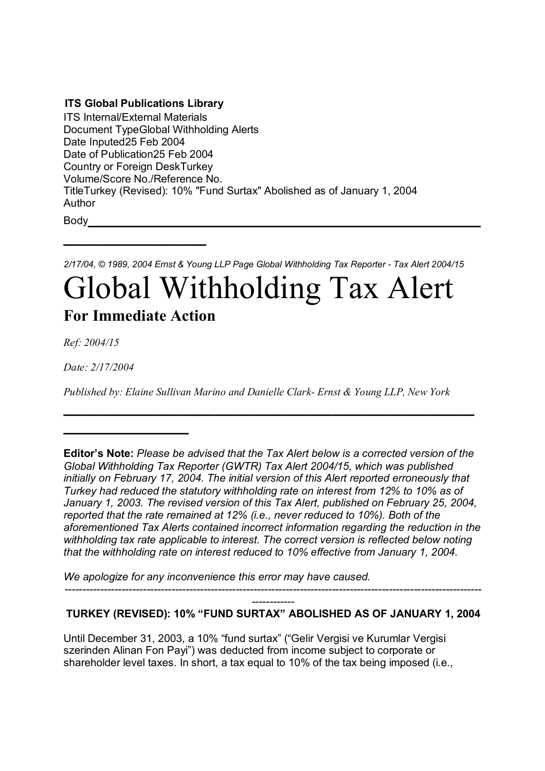## **ITS Global Publications Library**

**\_\_\_\_\_\_\_\_\_\_\_\_\_\_\_\_**

ITS Internal/External Materials Document TypeGlobal Withholding Alerts Date Inputed25 Feb 2004 Date of Publication25 Feb 2004 Country or Foreign DeskTurkey Volume/Score No./Reference No. TitleTurkey (Revised): 10% "Fund Surtax" Abolished as of January 1, 2004 Author Body**\_\_\_\_\_\_\_\_\_\_\_\_\_\_\_\_\_\_\_\_\_\_\_\_\_\_\_\_\_\_\_\_\_\_\_\_\_\_\_\_\_\_\_\_**

*2/17/04, © 1989, 2004 Ernst & Young LLP Page Global Withholding Tax Reporter - Tax Alert 2004/15*

## Global Withholding Tax Alert **For Immediate Action**

*Ref: 2004/15*

*Date: 2/17/2004*

**\_\_\_\_\_\_\_\_\_\_\_\_\_\_**

*Published by: Elaine Sullivan Marino and Danielle Clark- Ernst & Young LLP, New York*

**\_\_\_\_\_\_\_\_\_\_\_\_\_\_\_\_\_\_\_\_\_\_\_\_\_\_\_\_\_\_\_\_\_\_\_\_\_\_\_\_\_\_\_\_\_\_**

*We apologize for any inconvenience this error may have caused.* 

## ------------ **TURKEY (REVISED): 10% "FUND SURTAX" ABOLISHED AS OF JANUARY 1, 2004**

---------------------------------------------------------------------------------------------------------------------

Until December 31, 2003, a 10% "fund surtax" ("Gelir Vergisi ve Kurumlar Vergisi szerinden Alinan Fon Payi") was deducted from income subject to corporate or shareholder level taxes. In short, a tax equal to 10% of the tax being imposed (i.e.,

**Editor's Note:** *Please be advised that the Tax Alert below is a corrected version of the Global Withholding Tax Reporter (GWTR) Tax Alert 2004/15, which was published initially on February 17, 2004. The initial version of this Alert reported erroneously that Turkey had reduced the statutory withholding rate on interest from 12% to 10% as of January 1, 2003. The revised version of this Tax Alert, published on February 25, 2004, reported that the rate remained at 12% (i.e., never reduced to 10%). Both of the aforementioned Tax Alerts contained incorrect information regarding the reduction in the withholding tax rate applicable to interest. The correct version is reflected below noting that the withholding rate on interest reduced to 10% effective from January 1, 2004.*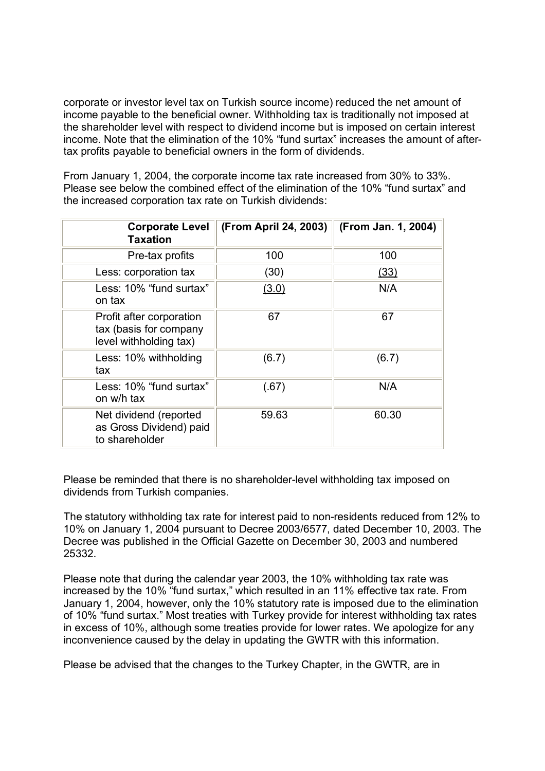corporate or investor level tax on Turkish source income) reduced the net amount of income payable to the beneficial owner. Withholding tax is traditionally not imposed at the shareholder level with respect to dividend income but is imposed on certain interest income. Note that the elimination of the 10% "fund surtax" increases the amount of aftertax profits payable to beneficial owners in the form of dividends.

From January 1, 2004, the corporate income tax rate increased from 30% to 33%. Please see below the combined effect of the elimination of the 10% "fund surtax" and the increased corporation tax rate on Turkish dividends:

| <b>Corporate Level</b><br><b>Taxation</b>                                    | (From April 24, 2003) | (From Jan. 1, 2004) |
|------------------------------------------------------------------------------|-----------------------|---------------------|
| Pre-tax profits                                                              | 100                   | 100                 |
| Less: corporation tax                                                        | (30)                  | (33)                |
| Less: 10% "fund surtax"<br>on tax                                            | (3.0)                 | N/A                 |
| Profit after corporation<br>tax (basis for company<br>level withholding tax) | 67                    | 67                  |
| Less: 10% withholding<br>tax                                                 | (6.7)                 | (6.7)               |
| Less: 10% "fund surtax"<br>on w/h tax                                        | (.67)                 | N/A                 |
| Net dividend (reported<br>as Gross Dividend) paid<br>to shareholder          | 59.63                 | 60.30               |

Please be reminded that there is no shareholder-level withholding tax imposed on dividends from Turkish companies.

The statutory withholding tax rate for interest paid to non-residents reduced from 12% to 10% on January 1, 2004 pursuant to Decree 2003/6577, dated December 10, 2003. The Decree was published in the Official Gazette on December 30, 2003 and numbered 25332.

Please note that during the calendar year 2003, the 10% withholding tax rate was increased by the 10% "fund surtax," which resulted in an 11% effective tax rate. From January 1, 2004, however, only the 10% statutory rate is imposed due to the elimination of 10% "fund surtax." Most treaties with Turkey provide for interest withholding tax rates in excess of 10%, although some treaties provide for lower rates. We apologize for any inconvenience caused by the delay in updating the GWTR with this information.

Please be advised that the changes to the Turkey Chapter, in the GWTR, are in